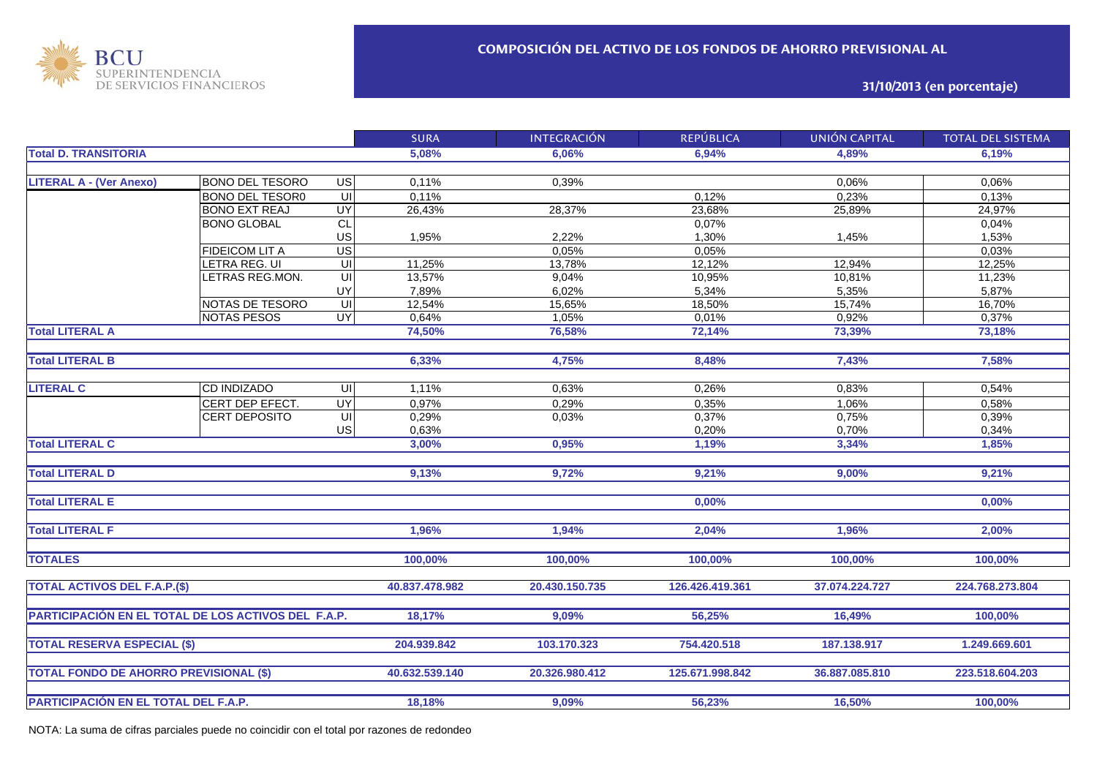

**31/10/2013 (en porcentaje)**

|                                                     |                        |                         | <b>SURA</b>    | <b>INTEGRACIÓN</b> | <b>REPÚBLICA</b> | <b>UNIÓN CAPITAL</b> | <b>TOTAL DEL SISTEMA</b> |
|-----------------------------------------------------|------------------------|-------------------------|----------------|--------------------|------------------|----------------------|--------------------------|
| <b>Total D. TRANSITORIA</b>                         |                        | 5,08%                   | 6.06%          | 6,94%              | 4.89%            | 6.19%                |                          |
|                                                     |                        |                         |                |                    |                  |                      |                          |
| <b>LITERAL A - (Ver Anexo)</b>                      | <b>BONO DEL TESORO</b> | $\overline{G}$          | 0,11%          | 0,39%              |                  | 0,06%                | 0,06%                    |
|                                                     | <b>BONO DEL TESOR0</b> | 宫                       | 0,11%          |                    | 0,12%            | 0,23%                | 0,13%                    |
|                                                     | <b>BONO EXT REAJ</b>   | <b>UY</b>               | 26,43%         | 28,37%             | 23,68%           | 25,89%               | 24,97%                   |
|                                                     | <b>BONO GLOBAL</b>     | $\overline{c}$          |                |                    | 0,07%            |                      | 0,04%                    |
|                                                     |                        | US                      | 1,95%          | 2,22%              | 1,30%            | 1,45%                | 1,53%                    |
|                                                     | <b>FIDEICOM LIT A</b>  | $\overline{US}$         |                | 0,05%              | 0,05%            |                      | 0,03%                    |
|                                                     | LETRA REG. UI          | UI                      | 11,25%         | 13,78%             | 12,12%           | 12,94%               | 12,25%                   |
|                                                     | LETRAS REG.MON.        | $\overline{\mathbf{r}}$ | 13,57%         | 9,04%              | 10,95%           | 10,81%               | 11,23%                   |
|                                                     |                        | UY                      | 7,89%          | 6,02%              | 5,34%            | 5,35%                | 5,87%                    |
|                                                     | NOTAS DE TESORO        | $\overline{\mathbf{r}}$ | 12,54%         | 15,65%             | 18,50%           | 15,74%               | 16,70%                   |
|                                                     | <b>NOTAS PESOS</b>     | $\overline{\mathsf{C}}$ | 0,64%          | 1,05%              | 0,01%            | 0,92%                | 0,37%                    |
| <b>Total LITERAL A</b>                              |                        |                         | 74,50%         | 76,58%             | 72,14%           | 73,39%               | 73,18%                   |
|                                                     |                        |                         |                |                    |                  |                      |                          |
| <b>Total LITERAL B</b>                              |                        | 6,33%                   | 4,75%          | 8,48%              | 7,43%            | 7,58%                |                          |
|                                                     |                        |                         |                |                    |                  |                      |                          |
| <b>LITERAL C</b>                                    | <b>CD INDIZADO</b>     | $\overline{\mathsf{C}}$ | 1,11%          | 0,63%              | 0,26%            | 0,83%                | 0,54%                    |
|                                                     | CERT DEP EFECT.        | <b>UY</b>               | 0,97%          | 0,29%              | 0,35%            | 1,06%                | 0,58%                    |
|                                                     | <b>CERT DEPOSITO</b>   | $\overline{\mathsf{U}}$ | 0,29%          | 0,03%              | 0,37%            | 0,75%                | 0,39%                    |
|                                                     |                        | US                      | 0,63%          |                    | 0,20%            | 0,70%                | 0,34%                    |
| <b>Total LITERAL C</b>                              |                        |                         | 3,00%          | 0,95%              | 1,19%            | 3,34%                | 1,85%                    |
|                                                     |                        |                         |                |                    |                  |                      |                          |
| <b>Total LITERAL D</b>                              |                        |                         | 9,13%          | 9,72%              | 9,21%            | 9,00%                | 9,21%                    |
|                                                     |                        |                         |                |                    |                  |                      |                          |
| <b>Total LITERAL E</b>                              |                        |                         |                |                    | 0,00%            |                      | 0,00%                    |
|                                                     |                        |                         |                |                    |                  |                      |                          |
| <b>Total LITERAL F</b>                              |                        |                         | 1,96%          | 1,94%              | 2,04%            | 1,96%                | 2,00%                    |
|                                                     |                        |                         |                |                    |                  |                      |                          |
| <b>TOTALES</b>                                      |                        |                         | 100,00%        | 100,00%            | 100,00%          | 100,00%              | 100.00%                  |
|                                                     |                        |                         |                |                    |                  |                      |                          |
| <b>TOTAL ACTIVOS DEL F.A.P.(\$)</b>                 |                        |                         | 40.837.478.982 | 20.430.150.735     | 126.426.419.361  | 37.074.224.727       | 224.768.273.804          |
|                                                     |                        |                         |                |                    |                  |                      |                          |
| PARTICIPACIÓN EN EL TOTAL DE LOS ACTIVOS DEL F.A.P. |                        |                         | 18,17%         | 9,09%              | 56,25%           | 16,49%               | 100,00%                  |
|                                                     |                        |                         |                |                    |                  |                      |                          |
| <b>TOTAL RESERVA ESPECIAL (\$)</b>                  |                        |                         | 204.939.842    | 103.170.323        | 754.420.518      | 187.138.917          | 1.249.669.601            |
|                                                     |                        |                         |                |                    |                  |                      |                          |
| <b>TOTAL FONDO DE AHORRO PREVISIONAL (\$)</b>       |                        |                         | 40.632.539.140 | 20.326.980.412     | 125.671.998.842  | 36.887.085.810       | 223.518.604.203          |
|                                                     |                        |                         |                |                    |                  |                      |                          |
|                                                     |                        |                         |                |                    |                  |                      |                          |
| PARTICIPACIÓN EN EL TOTAL DEL F.A.P.                |                        | 18,18%                  | 9,09%          | 56,23%             | 16,50%           | 100,00%              |                          |

NOTA: La suma de cifras parciales puede no coincidir con el total por razones de redondeo